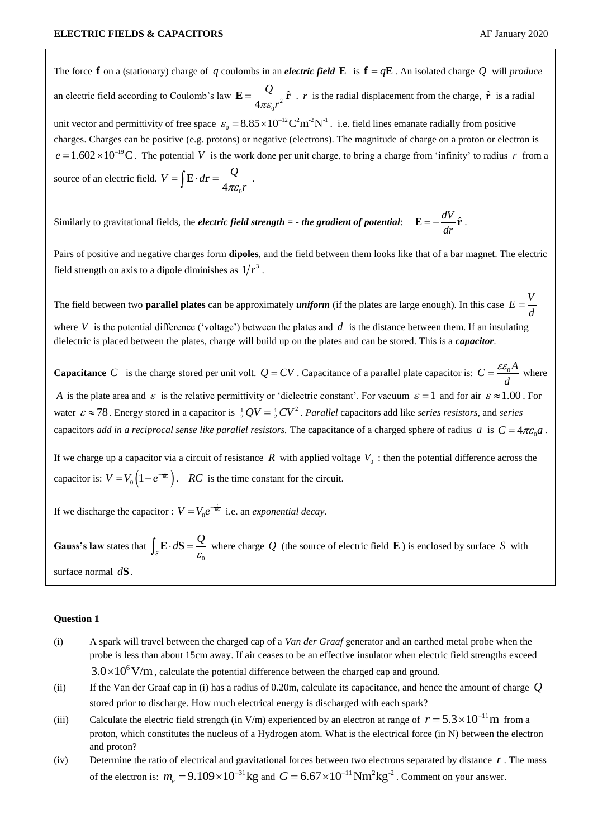The force **f** on a (stationary) charge of q coulombs in an *electric field*  $\bf{E}$  is  $\bf{f} = q\bf{E}$ . An isolated charge Q will *produce* an electric field according to Coulomb's law  $\mathbf{E} = \frac{Q}{4\pi\epsilon_0 r^2} \hat{\mathbf{r}}$  $\mathbf{0}$ 4 *Q*  $\pi \varepsilon_0 r$  $\mathbf{E} = \frac{Q}{\sigma} \hat{\mathbf{r}}$ . *r* is the radial displacement from the charge,  $\hat{\mathbf{r}}$  is a radial unit vector and permittivity of free space  $\varepsilon_0 = 8.85 \times 10^{-12} \text{ C}^2 \text{m}^2 \text{N}^{-1}$ . i.e. field lines emanate radially from positive charges. Charges can be positive (e.g. protons) or negative (electrons). The magnitude of charge on a proton or electron is  $e = 1.602 \times 10^{-19}$ C. The potential V is the work done per unit charge, to bring a charge from 'infinity' to radius r from a source of an electric field.  $4\pi\varepsilon_{0}$  $V = \int \mathbf{E} \cdot d\mathbf{r} = \frac{Q}{A}$  $=\int \mathbf{E} \cdot d\mathbf{r} = \frac{Q}{4\pi \varepsilon_0 r}$ .

Similarly to gravitational fields, the *electric field strength = - the gradient of potential*:  $\mathbf{E} = -\frac{dV}{dt}\hat{\mathbf{r}}$ *dr*  $\mathbf{E} = -\frac{\mathbf{u} \cdot \mathbf{r}}{r} \hat{\mathbf{r}}$ .

Pairs of positive and negative charges form **dipoles**, and the field between them looks like that of a bar magnet. The electric field strength on axis to a dipole diminishes as  $1/r^3$ .

The field between two **parallel plates** can be approximately *uniform* (if the plates are large enough). In this case  $E = \frac{V}{v}$ *d*  $=$ 

where V is the potential difference ('voltage') between the plates and  $d$  is the distance between them. If an insulating dielectric is placed between the plates, charge will build up on the plates and can be stored. This is a *capacitor*.

**Capacitance** C is the charge stored per unit volt.  $Q = CV$ . Capacitance of a parallel plate capacitor is:  $C = \frac{\varepsilon \varepsilon_0 A}{V}$ *d*  $=\frac{\varepsilon \varepsilon_0 A}{I}$  where *A* is the plate area and  $\varepsilon$  is the relative permittivity or 'dielectric constant'. For vacuum  $\varepsilon = 1$  and for air  $\varepsilon \approx 1.00$ . For water  $\varepsilon \approx 78$ . Energy stored in a capacitor is  $\frac{1}{2}QV = \frac{1}{2}CV^2$ . *Parallel* capacitors add like *series resistors*, and *series* capacitors *add in a reciprocal sense like parallel resistors. The capacitance of a charged sphere of radius*  $a$  *is*  $C = 4\pi\varepsilon_0 a$ *.* 

If we charge up a capacitor via a circuit of resistance  $R$  with applied voltage  $V_0$ : then the potential difference across the capacitor is:  $V = V_0 \left(1 - e^{-\frac{t}{RC}}\right)$ . *RC* is the time constant for the circuit.

If we discharge the capacitor :  $V = V_0$  $V = V_0 e^{-\frac{t}{RC}}$  i.e. an *exponential decay*.

Gauss's law states that  $\int_{S}$  $\mathbf{0}$  $\int_{S} \mathbf{E} \cdot d\mathbf{S} = \frac{Q}{\varepsilon_0}$  where charge Q (the source of electric field **E**) is enclosed by surface S with surface normal *d***S**.

## **Question 1**

- (i) A spark will travel between the charged cap of a *Van der Graaf* generator and an earthed metal probe when the probe is less than about 15cm away. If air ceases to be an effective insulator when electric field strengths exceed  $3.0 \times 10^{6}$  V/m, calculate the potential difference between the charged cap and ground.
- (ii) If the Van der Graaf cap in (i) has a radius of 0.20m, calculate its capacitance, and hence the amount of charge *Q* stored prior to discharge. How much electrical energy is discharged with each spark?
- (iii) Calculate the electric field strength (in V/m) experienced by an electron at range of  $r = 5.3 \times 10^{-11}$  m from a proton, which constitutes the nucleus of a Hydrogen atom. What is the electrical force (in N) between the electron and proton?
- (iv) Determine the ratio of electrical and gravitational forces between two electrons separated by distance *r* . The mass of the electron is:  $m_e = 9.109 \times 10^{-31}$  kg and  $G = 6.67 \times 10^{-11}$  Nm<sup>2</sup> kg<sup>-2</sup>. Comment on your answer.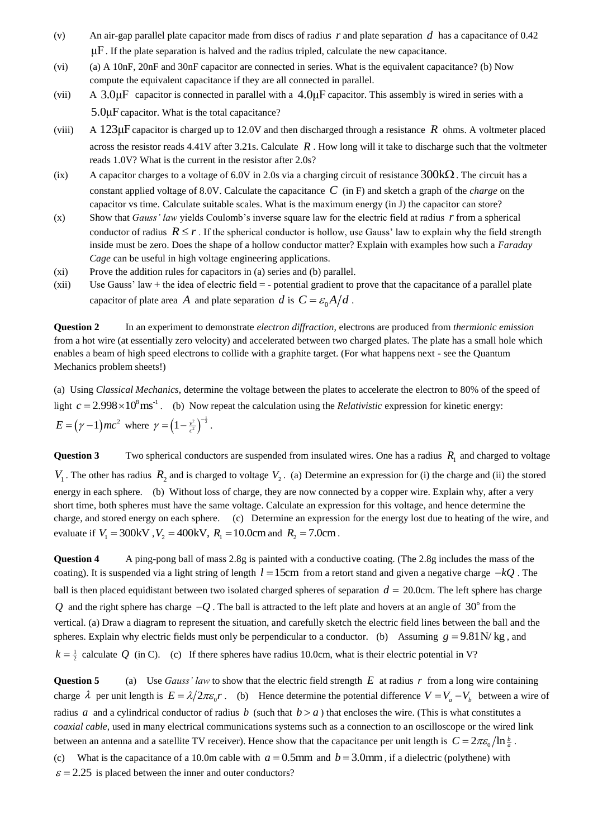- (v) An air-gap parallel plate capacitor made from discs of radius  $r$  and plate separation  $d$  has a capacitance of 0.42  $\mu$ F. If the plate separation is halved and the radius tripled, calculate the new capacitance.
- (vi) (a) A 10nF, 20nF and 30nF capacitor are connected in series. What is the equivalent capacitance? (b) Now compute the equivalent capacitance if they are all connected in parallel.
- $(vii)$  $3.0 \mu$ F capacitor is connected in parallel with a  $4.0 \mu$ F capacitor. This assembly is wired in series with a 5.0μF capacitor. What is the total capacitance?
- $(viii)$ 123μF capacitor is charged up to 12.0V and then discharged through a resistance *R* ohms. A voltmeter placed across the resistor reads  $4.41V$  after  $3.21s$ . Calculate  $R$ . How long will it take to discharge such that the voltmeter reads 1.0V? What is the current in the resistor after 2.0s?
- (ix) A capacitor charges to a voltage of 6.0V in 2.0s via a charging circuit of resistance  $300k\Omega$ . The circuit has a constant applied voltage of 8.0V. Calculate the capacitance *C* (in F) and sketch a graph of the *charge* on the capacitor vs time. Calculate suitable scales. What is the maximum energy (in J) the capacitor can store?
- (x) Show that *Gauss' law* yields Coulomb's inverse square law for the electric field at radius *r* from a spherical conductor of radius  $R \le r$ . If the spherical conductor is hollow, use Gauss' law to explain why the field strength inside must be zero. Does the shape of a hollow conductor matter? Explain with examples how such a *Faraday Cage* can be useful in high voltage engineering applications.
- (xi) Prove the addition rules for capacitors in (a) series and (b) parallel.
- (xii) Use Gauss' law + the idea of electric field  $=$  potential gradient to prove that the capacitance of a parallel plate capacitor of plate area A and plate separation d is  $C = \frac{\varepsilon_0 A}{d}$ .

**Question 2** In an experiment to demonstrate *electron diffraction*, electrons are produced from *thermionic emission* from a hot wire (at essentially zero velocity) and accelerated between two charged plates. The plate has a small hole which enables a beam of high speed electrons to collide with a graphite target. (For what happens next - see the Quantum Mechanics problem sheets!)

(a) Using *Classical Mechanics*, determine the voltage between the plates to accelerate the electron to 80% of the speed of light  $c = 2.998 \times 10^8 \text{ ms}^{-1}$ . (b) Now repeat the calculation using the *Relativistic* expression for kinetic energy:  $E = (\gamma - 1)mc^2$  where  $\gamma = (1 - \frac{v^2}{c^2})^{-\frac{1}{2}}$ .

**Question 3** Two spherical conductors are suspended from insulated wires. One has a radius  $R_1$  and charged to voltage  $V_1$ . The other has radius  $R_2$  and is charged to voltage  $V_2$ . (a) Determine an expression for (i) the charge and (ii) the stored energy in each sphere. (b) Without loss of charge, they are now connected by a copper wire. Explain why, after a very short time, both spheres must have the same voltage. Calculate an expression for this voltage, and hence determine the charge, and stored energy on each sphere. (c) Determine an expression for the energy lost due to heating of the wire, and evaluate if  $V_1 = 300 \text{kV}$ ,  $V_2 = 400 \text{kV}$ ,  $R_1 = 10.0 \text{cm}$  and  $R_2 = 7.0 \text{cm}$ .

**Question 4** A ping-pong ball of mass 2.8g is painted with a conductive coating. (The 2.8g includes the mass of the coating). It is suspended via a light string of length  $l = 15$ cm from a retort stand and given a negative charge  $-kQ$ . The ball is then placed equidistant between two isolated charged spheres of separation  $d = 20.0$ cm. The left sphere has charge Q and the right sphere has charge  $-Q$ . The ball is attracted to the left plate and hovers at an angle of  $30^{\circ}$  from the vertical. (a) Draw a diagram to represent the situation, and carefully sketch the electric field lines between the ball and the spheres. Explain why electric fields must only be perpendicular to a conductor. (b) Assuming  $g = 9.81$ N/kg, and  $k = \frac{1}{2}$  calculate Q (in C). (c) If there spheres have radius 10.0cm, what is their electric potential in V?

**Question 5** (a) Use *Gauss' law* to show that the electric field strength  $E$  at radius  $r$  from a long wire containing charge  $\lambda$  per unit length is  $E = \lambda/2\pi\varepsilon_0 r$ . (b) Hence determine the potential difference  $V = V_a - V_b$  between a wire of radius a and a cylindrical conductor of radius b (such that  $b > a$ ) that encloses the wire. (This is what constitutes a *coaxial cable*, used in many electrical communications systems such as a connection to an oscilloscope or the wired link between an antenna and a satellite TV receiver). Hence show that the capacitance per unit length is  $C = 2\pi\varepsilon_0/\ln\frac{b}{a}$ . (c) What is the capacitance of a 10.0m cable with  $a = 0.5$ mm and  $b = 3.0$ mm, if a dielectric (polythene) with

 $\varepsilon$  = 2.25 is placed between the inner and outer conductors?